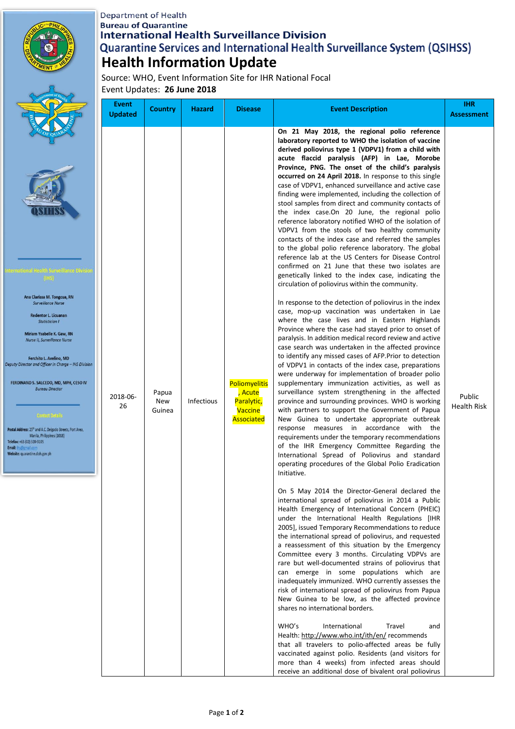